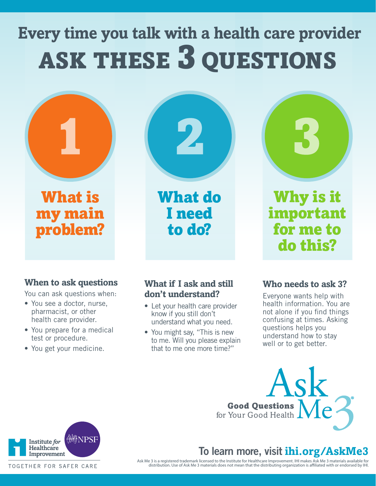# **Every time you talk with a health care provider** ASK THESE 3 QUESTIONS



What is my main problem? What do I need to do?



Why is it important for me to do this?

### **When to ask questions**

You can ask questions when:

- You see a doctor, nurse, pharmacist, or other health care provider.
- You prepare for a medical test or procedure.
- You get your medicine.

#### **What if I ask and still don't understand?**

- Let your health care provider know if you still don't understand what you need.
- You might say, "This is new to me. Will you please explain that to me one more time?"

#### **Who needs to ask 3?**

Everyone wants help with health information. You are not alone if you find things confusing at times. Asking questions helps you understand how to stay well or to get better.

Ask Good Questions for Your Good Health

## **To learn more, visit ihi.org/AskMe3**

Ask Me 3 is a registered trademark licensed to the Institute for Healthcare Improvement. IHI makes Ask Me 3 materials available for<br>.distribution. Use of Ask Me 3 materials does not mean that the distributing organization